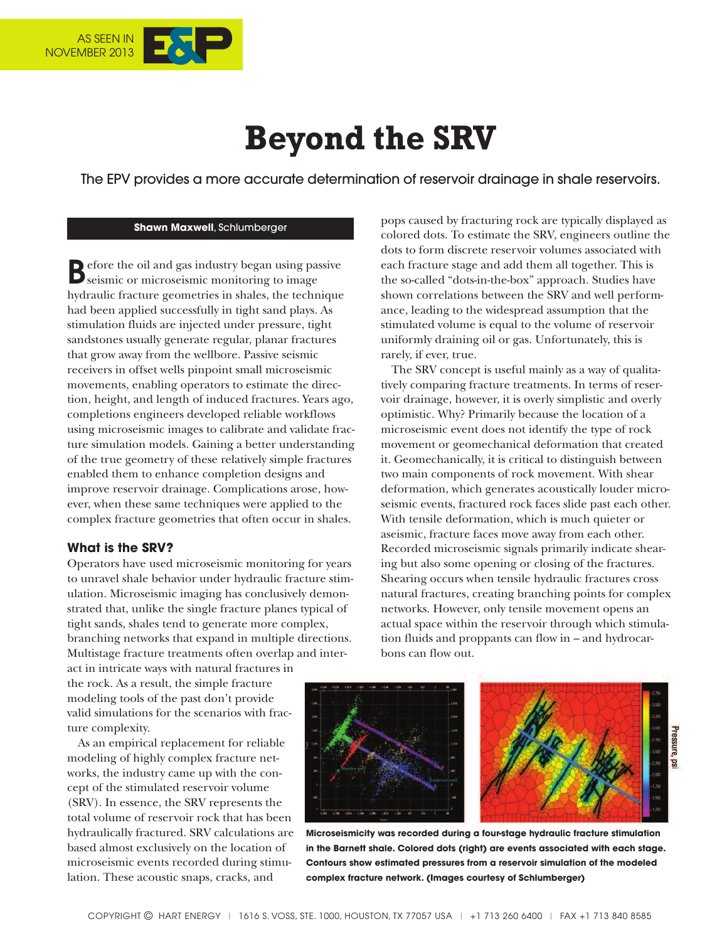

# **Beyond the SRV**

The EPV provides a more accurate determination of reservoir drainage in shale reservoirs.

#### **Shawn Maxwell**, Schlumberger

**B**efore the oil and gas industry began using passive seismic or microseismic monitoring to image hydraulic fracture geometries in shales, the technique had been applied successfully in tight sand plays. As stimulation fluids are injected under pressure, tight sandstones usually generate regular, planar fractures that grow away from the wellbore. Passive seismic receivers in offset wells pinpoint small microseismic movements, enabling operators to estimate the direction, height, and length of induced fractures. Years ago, completions engineers developed reliable workflows using microseismic images to calibrate and validate fracture simulation models. Gaining a better understanding of the true geometry of these relatively simple fractures enabled them to enhance completion designs and improve reservoir drainage. Complications arose, however, when these same techniques were applied to the complex fracture geometries that often occur in shales.

### **What is the SRV?**

Operators have used microseismic monitoring for years to unravel shale behavior under hydraulic fracture stimulation. Microseismic imaging has conclusively demonstrated that, unlike the single fracture planes typical of tight sands, shales tend to generate more complex, branching networks that expand in multiple directions. Multistage fracture treatments often overlap and inter-

pops caused by fracturing rock are typically displayed as colored dots. To estimate the SRV, engineers outline the dots to form discrete reservoir volumes associated with each fracture stage and add them all together. This is the so-called "dots-in-the-box" approach. Studies have shown correlations between the SRV and well performance, leading to the widespread assumption that the stimulated volume is equal to the volume of reservoir uniformly draining oil or gas. Unfortunately, this is rarely, if ever, true.

The SRV concept is useful mainly as a way of qualitatively comparing fracture treatments. In terms of reservoir drainage, however, it is overly simplistic and overly optimistic. Why? Primarily because the location of a microseismic event does not identify the type of rock movement or geomechanical deformation that created it. Geomechanically, it is critical to distinguish between two main components of rock movement. With shear deformation, which generates acoustically louder microseismic events, fractured rock faces slide past each other. With tensile deformation, which is much quieter or aseismic, fracture faces move away from each other. Recorded microseismic signals primarily indicate shearing but also some opening or closing of the fractures. Shearing occurs when tensile hydraulic fractures cross natural fractures, creating branching points for complex networks. However, only tensile movement opens an actual space within the reservoir through which stimulation fluids and proppants can flow in – and hydrocarbons can flow out.

act in intricate ways with natural fractures in the rock. As a result, the simple fracture modeling tools of the past don't provide valid simulations for the scenarios with fracture complexity.

As an empirical replacement for reliable modeling of highly complex fracture networks, the industry came up with the concept of the stimulated reservoir volume (SRV). In essence, the SRV represents the total volume of reservoir rock that has been hydraulically fractured. SRV calculations are based almost exclusively on the location of microseismic events recorded during stimulation. These acoustic snaps, cracks, and

Pressure, ps

**Microseismicity was recorded during a four-stage hydraulic fracture stimulation in the Barnett shale. Colored dots (right) are events associated with each stage. Contours show estimated pressures from a reservoir simulation of the modeled complex fracture network. (Images courtesy of Schlumberger)**